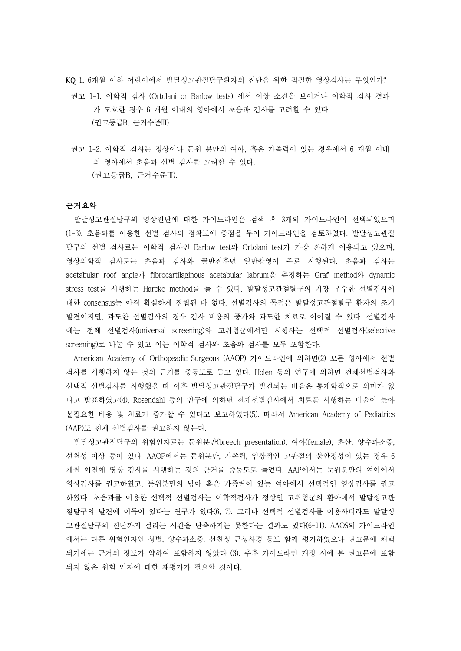KQ 1. 6개월 이하 어린이에서 발달성고관절탈구환자의 진단을 위한 적절한 영상검사는 무엇인가?

| 권고 1-1. 이학적 검사 (Ortolani or Barlow tests) 에서 이상 소견을 보이거나 이학적 검사 결과 |
|--------------------------------------------------------------------|
| 가 모호한 경우 6 개월 이내의 영아에서 초음파 검사를 고려할 수 있다.                           |
| (권고등급B, 근거수준III).                                                  |
|                                                                    |
| 권고 1-2. 이학적 검사는 정상이나 둔위 분만의 여아, 혹은 가족력이 있는 경우에서 6 개월 이내            |
| 의 영아에서 초음파 선별 검사를 고려할 수 있다.                                        |

(권고등급B, 근거수준III).

### 근거요약

발달성고관절탈구의 영상진단에 대한 가이드라인은 검색 후 3개의 가이드라인이 선택되었으며 (1-3), 초음파를 이용한 선별 검사의 정확도에 중점을 두어 가이드라인을 검토하였다. 발달성고관절 탈구의 선별 검사로는 이학적 검사인 Barlow test와 Ortolani test가 가장 흔하게 이용되고 있으며,<br>영상의학적 검사로는 초음파 검사와 골반전후면 일반촬영이 주로 시행된다. 초음파 검사는 acetabular roof angle과 fibrocartilaginous acetabular labrum을 측정하는 Graf method와 dynamic stress test를 시행하는 Harcke method를 들 수 있다. 발달성고관절탈구의 가장 우수한 선별검사에 대한 consensus는 아직 확실하게 정립된 바 없다. 선별검사의 목적은 발달성고관절탈구 환자의 조기 발견이지만, 과도한 선별검사의 경우 검사 비용의 증가와 과도한 치료로 이어질 수 있다. 선별검사 에는 전체 선별검사(universal screening)와 고위험군에서만 시행하는 선택적 선별검사(selective screening)로 나눌 수 있고 이는 이학적 검사와 초음파 검사를 모두 포함한다.

American Academy of Orthopeadic Surgeons (AAOP) 가이드라인에 의하면(2) 모든 영아에서 선별 검사를 시행하지 않는 것의 근거를 중등도로 들고 있다. Holen 등의 연구에 의하면 전체선별검사와 선택적 선별검사를 시행했을 때 이후 발달성고관절탈구가 발견되는 비율은 통계학적으로 의미가 없 다고 발표하였고(4), Rosendahl 등의 연구에 의하면 전체선별검사에서 치료를 시행하는 비율이 높아 불필요한 비용 및 치료가 증가할 수 있다고 보고하였다(5). 따라서 American Academy of Pediatrics (AAP)도 전체 선별검사를 권고하지 않는다.

발달성고관절탈구의 위험인자로는 둔위분만(breech presentation), 여아(female), 초산, 양수과소증, 선천성 이상 등이 있다. AAOP에서는 둔위분만, 가족력, 임상적인 고관절의 불안정성이 있는 경우 6 개월 이전에 영상 검사를 시행하는 것의 근거를 중등도로 들었다. AAP에서는 둔위분만의 여아에서 영상검사를 권고하였고, 둔위분만의 남아 혹은 가족력이 있는 여아에서 선택적인 영상검사를 권고 하였다. 초음파를 이용한 선택적 선별검사는 이학적검사가 정상인 고위험군의 환아에서 발달성고관 절탈구의 발견에 이득이 있다는 연구가 있다(6, 7). 그러나 선택적 선별검사를 이용하더라도 발달성 고관절탈구의 진단까지 걸리는 시간을 단축하지는 못한다는 결과도 있다(6-11). AAOS의 가이드라인 에서는 다른 위험인자인 성별, 양수과소증, 선천성 근성사경 등도 함께 평가하였으나 권고문에 채택 되기에는 근거의 정도가 약하여 포함하지 않았다 (3). 추후 가이드라인 개정 시에 본 권고문에 포함 되지 않은 위험 인자에 대한 재평가가 필요할 것이다.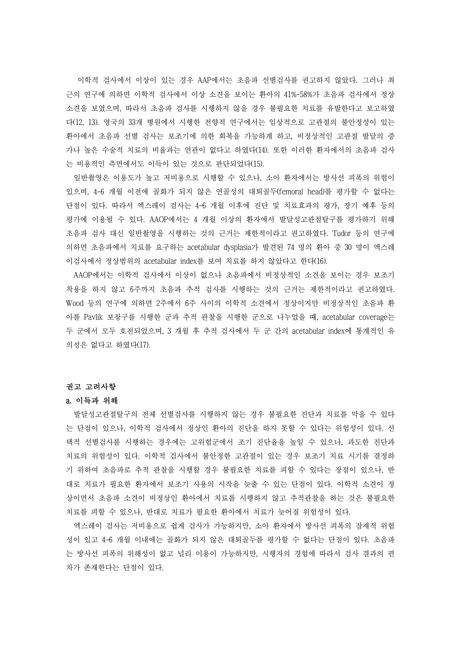이학적 검사에서 이상이 있는 경우 AAP에서는 초음파 선별검사를 권고하지 않았다. 그러나 최 근의 연구에 의하면 이학적 검사에서 이상 소견을 보이는 환아의 41%-58%가 초음파 검사에서 정상 소견을 보였으며, 따라서 초음파 검사를 시행하지 않을 경우 불필요한 치료를 유발한다고 보고하였 다(12, 13). 영국의 33개 병원에서 시행한 전향적 연구에서는 임상적으로 고관절의 불안정성이 있는 환아에서 초음파 선별 검사는 보조기에 의한 회복을 가능하게 하고, 비정상적인 고관절 발달의 증 가나 높은 수술적 치료의 비율과는 연관이 없다고 하였다(14). 또한 이러한 환자에서의 초음파 검사 는 비용적인 측면에서도 이득이 있는 것으로 판단되었다(15).

일반촬영은 이용도가 높고 저비용으로 시행할 수 있으나, 소아 환자에서는 방사선 피폭의 위험이 있으며, 4-6 개월 이전에 골화가 되지 않은 연골성의 대퇴골두(femoral head)를 평가할 수 없다는 단점이 있다. 따라서 엑스레이 검사는 4-6 개월 이후에 진단 및 치료효과의 평가, 장기 예후 등의 평가에 이용될 수 있다. AAOP에서는 4 개월 이상의 환자에서 발달성고관절탈구를 평가하기 위해 초음파 검사 대신 일반촬영을 시행하는 것의 근거는 제한적이라고 권고하였다. Tudor 등의 연구에 의하면 초음파에서 치료를 요구하는 acetabular dysplasia가 발견된 74 명의 환아 중 30 명이 엑스레 이검사에서 정상범위의 acetabular index를 보여 치료를 하지 않았다고 한다(16).

AAOP에서는 이학적 검사에서 이상이 없으나 초음파에서 비정상적인 소견을 보이는 경우 보조기 착용을 하지 않고 6주까지 초음파 추적 검사를 시행하는 것의 근거는 제한적이라고 권고하였다.<br>Wood 등의 연구에 의하면 2주에서 6주 사이의 이학적 소견에서 정상이지만 비정상적인 초음파 환 아를 Pavlik 보장구를 시행한 군과 추적 관찰을 시행한 군으로 나누었을 때, acetabular coverage는 두 군에서 모두 호전되었으며, 3 개월 후 추적 검사에서 두 군 간의 acetabular index에 통계적인 유 의성은 없다고 하였다(17).

### 권고 고려사항

### a. 이득과 위해

발달성고관절탈구의 전체 선별검사를 시행하지 않는 경우 불필요한 진단과 치료를 막을 수 있다 는 단점이 있으나, 이학적 검사에서 정상인 환아의 진단을 하지 못할 수 있다는 위험성이 있다. 선 택적 선별검사를 시행하는 경우에는 고위험군에서 조기 진단율을 높일 수 있으나, 과도한 진단과 치료의 위험성이 있다. 이학적 검사에서 불안정한 고관절이 있는 경우 보조기 치료 시기를 결정하 기 위하여 초음파로 추적 관찰을 시행할 경우 불필요한 치료를 피할 수 있다는 장점이 있으나, 반 대로 치료가 필요한 환자에서 보조기 사용의 시작을 늦출 수 있는 단점이 있다. 이학적 소견이 정 상이면서 초음파 소견이 비정상인 환아에서 치료를 시행하지 않고 추적관찰을 하는 것은 불필요한

치료를 피할 수 있으나, 반대로 치료가 필요한 환아에서 치료가 늦어질 위험성이 있다.<br>-<br>엑스레이 검사는 저비용으로 쉽게 검사가 가능하지만, 소아 환자에서 방사선 피폭의 잠재적 위험 성이 있고 4-6 개월 이내에는 골화가 되지 않은 대퇴골두를 평가할 수 없다는 단점이 있다. 초음파 는 방사선 피폭의 위해성이 없고 널리 이용이 가능하지만, 시행자의 경험에 따라서 검사 결과의 편 차가 존재한다는 단점이 있다.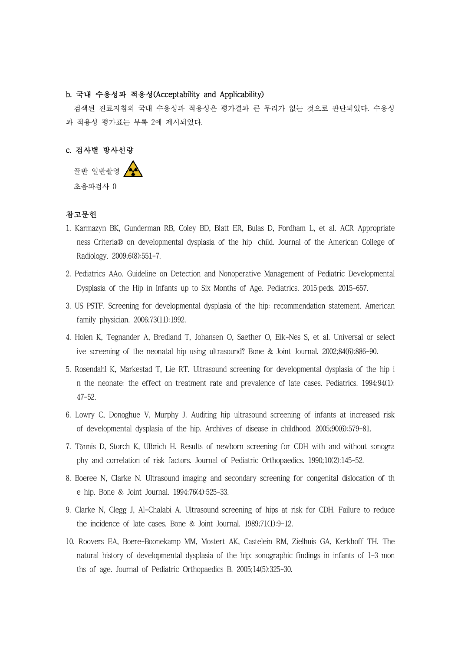# b. 국내 수용성과 적용성(Acceptability and Applicability)

검색된 진료지침의 국내 수용성과 적용성은 평가결과 큰 무리가 없는 것으로 판단되었다. 수용성 과 적용성 평가표는 부록 2에 제시되었다.

# c. 검사별 방사선량

골반 일반촬영 4 초음파검사 0

## 참고문헌

- 1. Karmazyn BK, Gunderman RB, Coley BD, Blatt ER, Bulas D, Fordham L, et al. ACR Appropriate ness Criteria® on developmental dysplasia of the hip—child. Journal of the American College of Radiology. 2009;6(8):551-7.
- 2. Pediatrics AAo. Guideline on Detection and Nonoperative Management of Pediatric Developmental Dysplasia of the Hip in Infants up to Six Months of Age. Pediatrics. 2015:peds. 2015-657.
- 3. US PSTF. Screening for developmental dysplasia of the hip: recommendation statement. American family physician. 2006;73(11):1992.
- 4. Holen K, Tegnander A, Bredland T, Johansen O, Saether O, Eik-Nes S, et al. Universal or select ive screening of the neonatal hip using ultrasound? Bone & Joint Journal. 2002;84(6):886-90.
- 5. Rosendahl K, Markestad T, Lie RT. Ultrasound screening for developmental dysplasia of the hip i n the neonate: the effect on treatment rate and prevalence of late cases. Pediatrics. 1994;94(1): 47-52.
- 6. Lowry C, Donoghue V, Murphy J. Auditing hip ultrasound screening of infants at increased risk of developmental dysplasia of the hip. Archives of disease in childhood. 2005;90(6):579-81.
- 7. Tönnis D, Storch K, Ulbrich H. Results of newborn screening for CDH with and without sonogra phy and correlation of risk factors. Journal of Pediatric Orthopaedics. 1990;10(2):145-52.
- 8. Boeree N, Clarke N. Ultrasound imaging and secondary screening for congenital dislocation of th e hip. Bone & Joint Journal. 1994;76(4):525-33.
- 9. Clarke N, Clegg J, Al-Chalabi A. Ultrasound screening of hips at risk for CDH. Failure to reduce the incidence of late cases. Bone & Joint Journal. 1989;71(1):9-12.
- 10. Roovers EA, Boere-Boonekamp MM, Mostert AK, Castelein RM, Zielhuis GA, Kerkhoff TH. The natural history of developmental dysplasia of the hip: sonographic findings in infants of 1–3 mon ths of age. Journal of Pediatric Orthopaedics B. 2005;14(5):325-30.